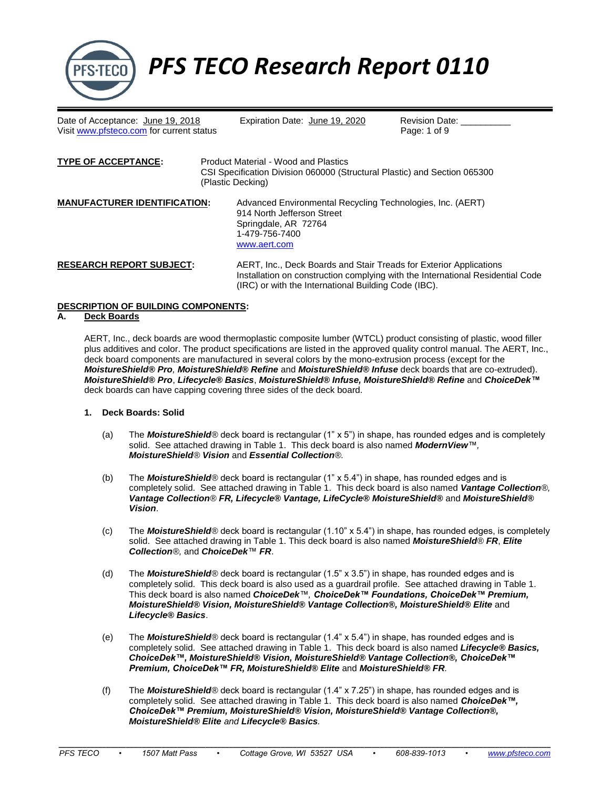

*PFS TECO Research Report 0110*

Date of Acceptance: June 19, 2018 Expiration Date: June 19, 2020 Revision Date: \_<br>Visit www.pfsteco.com for current status Page: 1 of 9 Visit [www.pfsteco.com](http://www.pfsteco.com/) for current status

| <b>TYPE OF ACCEPTANCE:</b>          | Product Material - Wood and Plastics<br>CSI Specification Division 060000 (Structural Plastic) and Section 065300<br>(Plastic Decking)               |  |  |  |  |  |
|-------------------------------------|------------------------------------------------------------------------------------------------------------------------------------------------------|--|--|--|--|--|
| <b>MANUFACTURER IDENTIFICATION:</b> | Advanced Environmental Recycling Technologies, Inc. (AERT)<br>914 North Jefferson Street<br>Springdale, AR 72764<br>1-479-756-7400<br>www.aert.com   |  |  |  |  |  |
| <b>RESEARCH REPORT SUBJECT:</b>     | AERT, Inc., Deck Boards and Stair Treads for Exterior Applications<br>Installation on construction complying with the International Residential Code |  |  |  |  |  |

#### **DESCRIPTION OF BUILDING COMPONENTS:**

#### **A. Deck Boards**

AERT, Inc., deck boards are wood thermoplastic composite lumber (WTCL) product consisting of plastic, wood filler plus additives and color. The product specifications are listed in the approved quality control manual. The AERT, Inc., deck board components are manufactured in several colors by the mono-extrusion process (except for the *MoistureShield® Pro, MoistureShield® Refine* and *MoistureShield® Infuse* deck boards that are co-extruded). *MoistureShield® Pro*, *Lifecycle® Basics*, *MoistureShield® Infuse, MoistureShield® Refine* and *ChoiceDek™* deck boards can have capping covering three sides of the deck board.

(IRC) or with the International Building Code (IBC).

#### **1. Deck Boards: Solid**

- (a) The *MoistureShield®* deck board is rectangular (1" x 5") in shape, has rounded edges and is completely solid. See attached drawing in Table 1. This deck board is also named *ModernView™, MoistureShield® Vision* and *Essential Collection®.*
- (b) The *MoistureShield®* deck board is rectangular (1" x 5.4") in shape, has rounded edges and is completely solid. See attached drawing in Table 1. This deck board is also named *Vantage Collection®, Vantage Collection® FR, Lifecycle® Vantage, LifeCycle® MoistureShield®* and *MoistureShield® Vision*.
- (c) The *MoistureShield®* deck board is rectangular (1.10" x 5.4") in shape, has rounded edges, is completely solid. See attached drawing in Table 1. This deck board is also named *MoistureShield® FR*, *Elite Collection®,* and *ChoiceDek™ FR*.
- (d) The *MoistureShield®* deck board is rectangular (1.5" x 3.5") in shape, has rounded edges and is completely solid. This deck board is also used as a guardrail profile. See attached drawing in Table 1. This deck board is also named *ChoiceDek™, ChoiceDek™ Foundations, ChoiceDek™ Premium, MoistureShield® Vision, MoistureShield® Vantage Collection®, MoistureShield® Elite* and *Lifecycle® Basics*.
- (e) The *MoistureShield®* deck board is rectangular (1.4" x 5.4") in shape, has rounded edges and is completely solid. See attached drawing in Table 1. This deck board is also named *Lifecycle® Basics, ChoiceDek™, MoistureShield® Vision, MoistureShield® Vantage Collection®, ChoiceDek™ Premium, ChoiceDek™ FR, MoistureShield® Elite* and *MoistureShield® FR.*
- (f) The *MoistureShield®* deck board is rectangular (1.4" x 7.25") in shape, has rounded edges and is completely solid. See attached drawing in Table 1. This deck board is also named *ChoiceDek™, ChoiceDek™ Premium, MoistureShield® Vision, MoistureShield® Vantage Collection®, MoistureShield® Elite and Lifecycle® Basics.*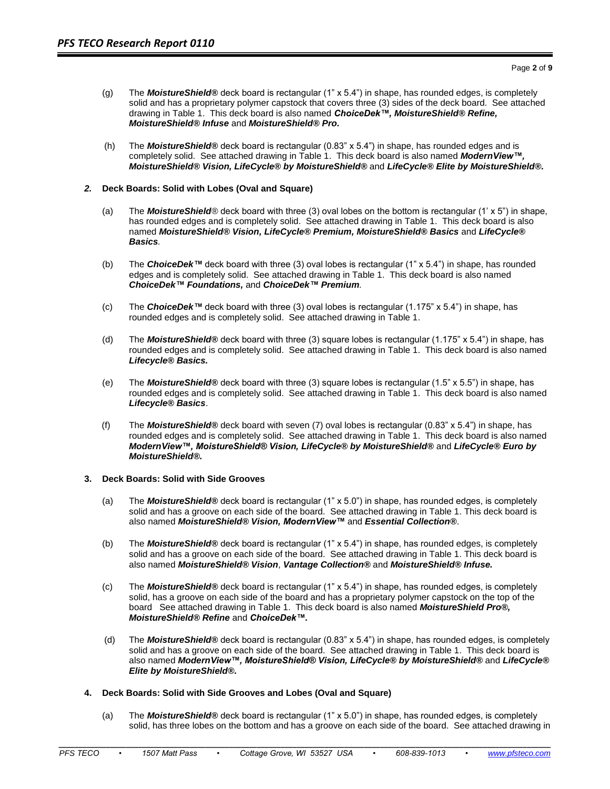- (g) The *MoistureShield®* deck board is rectangular (1" x 5.4") in shape, has rounded edges, is completely solid and has a proprietary polymer capstock that covers three (3) sides of the deck board. See attached drawing in Table 1. This deck board is also named *ChoiceDek™, MoistureShield® Refine, MoistureShield® Infuse* and *MoistureShield® Pro.*
- (h) The *MoistureShield®* deck board is rectangular (0.83" x 5.4") in shape, has rounded edges and is completely solid. See attached drawing in Table 1. This deck board is also named *ModernView™, MoistureShield® Vision, LifeCycle® by MoistureShield®* and *LifeCycle® Elite by MoistureShield®.*

## *2.* **Deck Boards: Solid with Lobes (Oval and Square)**

- (a) The *MoistureShield®* deck board with three (3) oval lobes on the bottom is rectangular (1' x 5") in shape, has rounded edges and is completely solid. See attached drawing in Table 1. This deck board is also named *MoistureShield® Vision, LifeCycle® Premium, MoistureShield® Basics* and *LifeCycle® Basics.*
- (b) The *ChoiceDek™* deck board with three (3) oval lobes is rectangular (1" x 5.4") in shape, has rounded edges and is completely solid. See attached drawing in Table 1. This deck board is also named *ChoiceDek™ Foundations,* and *ChoiceDek™ Premium.*
- (c) The *ChoiceDek™* deck board with three (3) oval lobes is rectangular (1.175" x 5.4") in shape, has rounded edges and is completely solid. See attached drawing in Table 1.
- (d) The *MoistureShield®* deck board with three (3) square lobes is rectangular (1.175" x 5.4") in shape, has rounded edges and is completely solid. See attached drawing in Table 1. This deck board is also named *Lifecycle® Basics.*
- (e) The *MoistureShield®* deck board with three (3) square lobes is rectangular (1.5" x 5.5") in shape, has rounded edges and is completely solid. See attached drawing in Table 1. This deck board is also named *Lifecycle® Basics*.
- (f) The *MoistureShield®* deck board with seven (7) oval lobes is rectangular (0.83" x 5.4") in shape, has rounded edges and is completely solid. See attached drawing in Table 1. This deck board is also named *ModernView™, MoistureShield® Vision, LifeCycle® by MoistureShield®* and *LifeCycle® Euro by MoistureShield®.*

## **3. Deck Boards: Solid with Side Grooves**

- (a) The *MoistureShield®* deck board is rectangular (1" x 5.0") in shape, has rounded edges, is completely solid and has a groove on each side of the board. See attached drawing in Table 1. This deck board is also named *MoistureShield® Vision, ModernView™* and *Essential Collection®*.
- (b) The *MoistureShield®* deck board is rectangular (1" x 5.4") in shape, has rounded edges, is completely solid and has a groove on each side of the board. See attached drawing in Table 1. This deck board is also named *MoistureShield® Vision*, *Vantage Collection®* and *MoistureShield® Infuse.*
- (c) The *MoistureShield®* deck board is rectangular (1" x 5.4") in shape, has rounded edges, is completely solid, has a groove on each side of the board and has a proprietary polymer capstock on the top of the board See attached drawing in Table 1. This deck board is also named *MoistureShield Pro®, MoistureShield® Refine* and *ChoiceDek™.*
- (d) The *MoistureShield®* deck board is rectangular (0.83" x 5.4") in shape, has rounded edges, is completely solid and has a groove on each side of the board. See attached drawing in Table 1. This deck board is also named *ModernView™, MoistureShield® Vision, LifeCycle® by MoistureShield®* and *LifeCycle® Elite by MoistureShield®.*

# **4. Deck Boards: Solid with Side Grooves and Lobes (Oval and Square)**

(a) The *MoistureShield®* deck board is rectangular (1" x 5.0") in shape, has rounded edges, is completely solid, has three lobes on the bottom and has a groove on each side of the board. See attached drawing in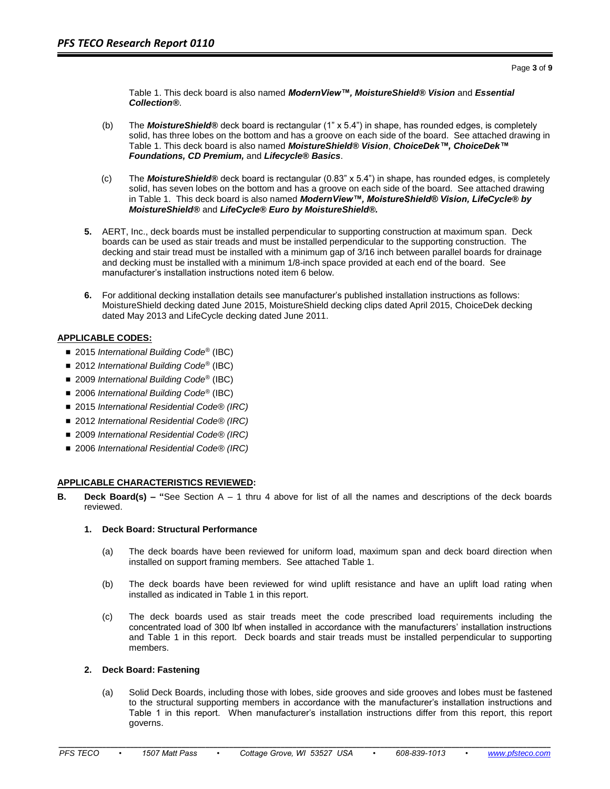Table 1. This deck board is also named *ModernView™, MoistureShield® Vision* and *Essential Collection®*.

- (b) The *MoistureShield®* deck board is rectangular (1" x 5.4") in shape, has rounded edges, is completely solid, has three lobes on the bottom and has a groove on each side of the board. See attached drawing in Table 1. This deck board is also named *MoistureShield® Vision*, *ChoiceDek™, ChoiceDek™ Foundations, CD Premium,* and *Lifecycle® Basics*.
- (c) The *MoistureShield®* deck board is rectangular (0.83" x 5.4") in shape, has rounded edges, is completely solid, has seven lobes on the bottom and has a groove on each side of the board. See attached drawing in Table 1. This deck board is also named *ModernView™, MoistureShield® Vision, LifeCycle® by MoistureShield®* and *LifeCycle® Euro by MoistureShield®.*
- **5.** AERT, Inc., deck boards must be installed perpendicular to supporting construction at maximum span. Deck boards can be used as stair treads and must be installed perpendicular to the supporting construction. The decking and stair tread must be installed with a minimum gap of 3/16 inch between parallel boards for drainage and decking must be installed with a minimum 1/8-inch space provided at each end of the board. See manufacturer's installation instructions noted item 6 below.
- **6.** For additional decking installation details see manufacturer's published installation instructions as follows: MoistureShield decking dated June 2015, MoistureShield decking clips dated April 2015, ChoiceDek decking dated May 2013 and LifeCycle decking dated June 2011.

# **APPLICABLE CODES:**

- 2015 *International Building Code<sup>®</sup>* (IBC)
- 2012 *International Building Code<sup>®</sup>* (IBC)
- 2009 *International Building Code<sup>®</sup>* (IBC)
- 2006 *International Building Code<sup>®</sup>* (IBC)
- 2015 *International Residential Code<sup>®</sup> (IRC)*
- 2012 *International Residential Code<sup>®</sup> (IRC)*
- 2009 *International Residential Code<sup>®</sup> (IRC)*
- 2006 *International Residential Code<sup>®</sup> (IRC)*

# **APPLICABLE CHARACTERISTICS REVIEWED:**

**B. Deck Board(s) – "**See Section A – 1 thru 4 above for list of all the names and descriptions of the deck boards reviewed.

## **1. Deck Board: Structural Performance**

- (a) The deck boards have been reviewed for uniform load, maximum span and deck board direction when installed on support framing members. See attached Table 1.
- (b) The deck boards have been reviewed for wind uplift resistance and have an uplift load rating when installed as indicated in Table 1 in this report.
- (c) The deck boards used as stair treads meet the code prescribed load requirements including the concentrated load of 300 lbf when installed in accordance with the manufacturers' installation instructions and Table 1 in this report. Deck boards and stair treads must be installed perpendicular to supporting members.

## **2. Deck Board: Fastening**

(a) Solid Deck Boards, including those with lobes, side grooves and side grooves and lobes must be fastened to the structural supporting members in accordance with the manufacturer's installation instructions and Table 1 in this report. When manufacturer's installation instructions differ from this report, this report governs.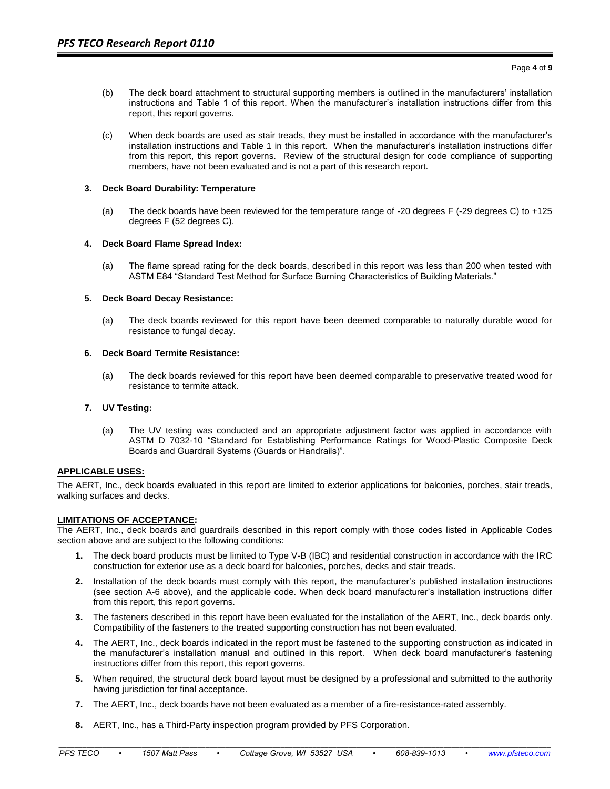- (b) The deck board attachment to structural supporting members is outlined in the manufacturers' installation instructions and Table 1 of this report. When the manufacturer's installation instructions differ from this report, this report governs.
- (c) When deck boards are used as stair treads, they must be installed in accordance with the manufacturer's installation instructions and Table 1 in this report. When the manufacturer's installation instructions differ from this report, this report governs. Review of the structural design for code compliance of supporting members, have not been evaluated and is not a part of this research report.

## **3. Deck Board Durability: Temperature**

(a) The deck boards have been reviewed for the temperature range of -20 degrees F (-29 degrees C) to +125 degrees F (52 degrees C).

## **4. Deck Board Flame Spread Index:**

(a) The flame spread rating for the deck boards, described in this report was less than 200 when tested with ASTM E84 "Standard Test Method for Surface Burning Characteristics of Building Materials."

## **5. Deck Board Decay Resistance:**

(a) The deck boards reviewed for this report have been deemed comparable to naturally durable wood for resistance to fungal decay.

## **6. Deck Board Termite Resistance:**

(a) The deck boards reviewed for this report have been deemed comparable to preservative treated wood for resistance to termite attack.

## **7. UV Testing:**

(a) The UV testing was conducted and an appropriate adjustment factor was applied in accordance with ASTM D 7032-10 "Standard for Establishing Performance Ratings for Wood-Plastic Composite Deck Boards and Guardrail Systems (Guards or Handrails)".

#### **APPLICABLE USES:**

The AERT, Inc., deck boards evaluated in this report are limited to exterior applications for balconies, porches, stair treads, walking surfaces and decks.

#### **LIMITATIONS OF ACCEPTANCE:**

The AERT, Inc., deck boards and guardrails described in this report comply with those codes listed in Applicable Codes section above and are subject to the following conditions:

- **1.** The deck board products must be limited to Type V-B (IBC) and residential construction in accordance with the IRC construction for exterior use as a deck board for balconies, porches, decks and stair treads.
- **2.** Installation of the deck boards must comply with this report, the manufacturer's published installation instructions (see section A-6 above), and the applicable code. When deck board manufacturer's installation instructions differ from this report, this report governs.
- **3.** The fasteners described in this report have been evaluated for the installation of the AERT, Inc., deck boards only. Compatibility of the fasteners to the treated supporting construction has not been evaluated.
- **4.** The AERT, Inc., deck boards indicated in the report must be fastened to the supporting construction as indicated in the manufacturer's installation manual and outlined in this report. When deck board manufacturer's fastening instructions differ from this report, this report governs.
- **5.** When required, the structural deck board layout must be designed by a professional and submitted to the authority having jurisdiction for final acceptance.
- **7.** The AERT, Inc., deck boards have not been evaluated as a member of a fire-resistance-rated assembly.

**\_\_\_\_\_\_\_\_\_\_\_\_\_\_\_\_\_\_\_\_\_\_\_\_\_\_\_\_\_\_\_\_\_\_\_\_\_\_\_\_\_\_\_\_\_\_\_\_\_\_\_\_\_\_\_\_\_\_\_\_\_\_\_\_\_\_\_\_\_\_\_\_\_\_\_\_\_\_\_\_\_\_\_\_\_\_\_\_\_\_\_\_\_\_\_\_\_\_\_\_\_\_\_\_\_\_\_\_\_\_\_\_\_\_\_\_\_\_\_\_\_\_\_\_**

**8.** AERT, Inc., has a Third-Party inspection program provided by PFS Corporation.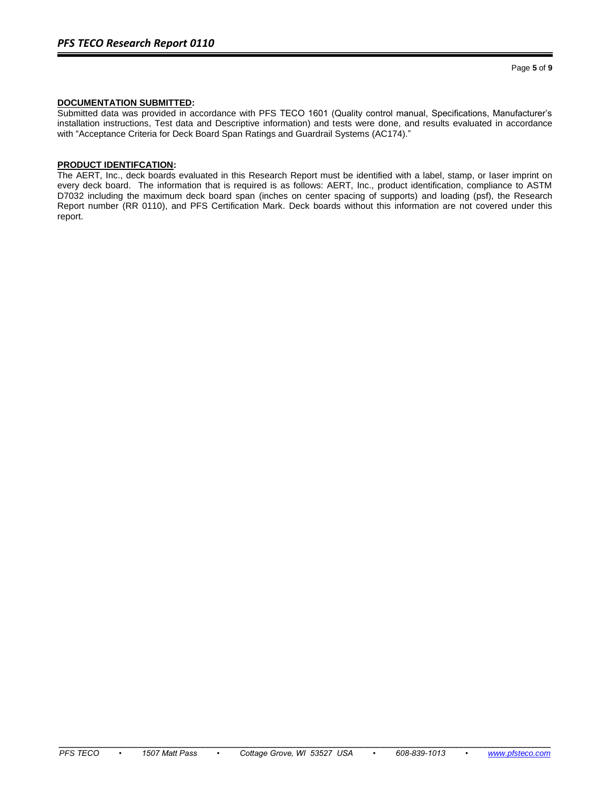# **DOCUMENTATION SUBMITTED:**

Submitted data was provided in accordance with PFS TECO 1601 (Quality control manual, Specifications, Manufacturer's installation instructions, Test data and Descriptive information) and tests were done, and results evaluated in accordance with "Acceptance Criteria for Deck Board Span Ratings and Guardrail Systems (AC174)."

## **PRODUCT IDENTIFCATION:**

The AERT, Inc., deck boards evaluated in this Research Report must be identified with a label, stamp, or laser imprint on every deck board. The information that is required is as follows: AERT, Inc., product identification, compliance to ASTM D7032 including the maximum deck board span (inches on center spacing of supports) and loading (psf), the Research Report number (RR 0110), and PFS Certification Mark. Deck boards without this information are not covered under this report.

**\_\_\_\_\_\_\_\_\_\_\_\_\_\_\_\_\_\_\_\_\_\_\_\_\_\_\_\_\_\_\_\_\_\_\_\_\_\_\_\_\_\_\_\_\_\_\_\_\_\_\_\_\_\_\_\_\_\_\_\_\_\_\_\_\_\_\_\_\_\_\_\_\_\_\_\_\_\_\_\_\_\_\_\_\_\_\_\_\_\_\_\_\_\_\_\_\_\_\_\_\_\_\_\_\_\_\_\_\_\_\_\_\_\_\_\_\_\_\_\_\_\_\_\_**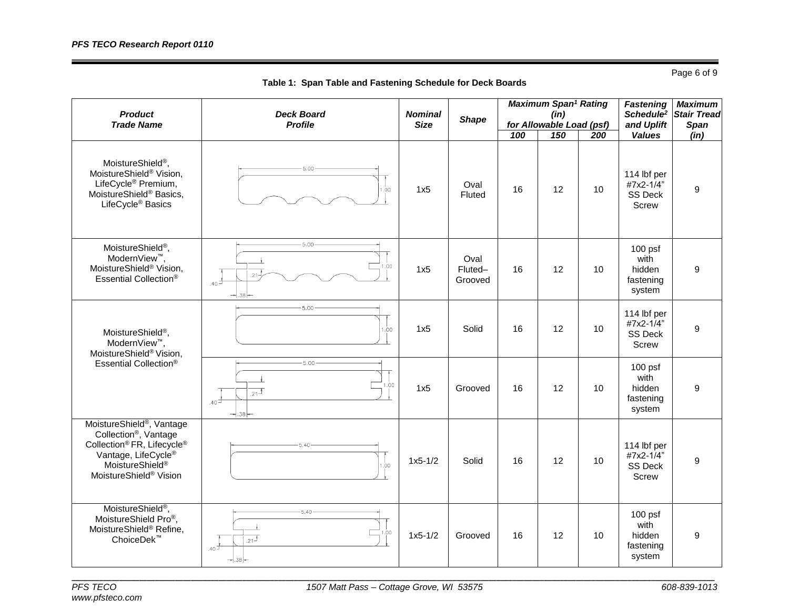Page 6 of 9

| <b>Product</b><br><b>Trade Name</b>                                                                                                                                                                                                      | <b>Deck Board</b><br><b>Profile</b>                                            | <b>Nominal</b><br><b>Size</b> | <b>Shape</b>               | <b>Maximum Span<sup>1</sup> Rating</b><br>(in)<br>for Allowable Load (psf) |     |     | <b>Fastening</b><br>and Uplift                      | <b>Maximum</b><br>Schedule <sup>2</sup> Stair Tread<br><b>Span</b> |
|------------------------------------------------------------------------------------------------------------------------------------------------------------------------------------------------------------------------------------------|--------------------------------------------------------------------------------|-------------------------------|----------------------------|----------------------------------------------------------------------------|-----|-----|-----------------------------------------------------|--------------------------------------------------------------------|
|                                                                                                                                                                                                                                          |                                                                                |                               |                            | 100                                                                        | 150 | 200 | <b>Values</b>                                       | (in)                                                               |
| MoistureShield <sup>®</sup> ,<br>MoistureShield <sup>®</sup> Vision,<br>LifeCycle <sup>®</sup> Premium,<br>MoistureShield® Basics,<br>LifeCycle <sup>®</sup> Basics                                                                      | 5.00<br>00.1                                                                   | 1x5                           | Oval<br>Fluted             | 16                                                                         | 12  | 10  | 114 lbf per<br>#7x2-1/4"<br><b>SS Deck</b><br>Screw | 9                                                                  |
| MoistureShield <sup>®</sup> ,<br>ModernView <sup>™</sup> .<br>MoistureShield® Vision,<br>Essential Collection®                                                                                                                           | $5.00 -$<br>1.00<br>$.21 -$<br>$_{40}$ <sup><math>\pm</math></sup><br>- 38-    | 1x5                           | Oval<br>Fluted-<br>Grooved | 16                                                                         | 12  | 10  | $100$ psf<br>with<br>hidden<br>fastening<br>system  | 9                                                                  |
| MoistureShield <sup>®</sup> ,<br>ModernView <sup>™</sup> .<br>MoistureShield® Vision,<br>Essential Collection®                                                                                                                           | $-5.00$<br>.00.                                                                | 1x5                           | Solid                      | 16                                                                         | 12  | 10  | 114 lbf per<br>#7x2-1/4"<br><b>SS Deck</b><br>Screw | 9                                                                  |
|                                                                                                                                                                                                                                          | $-5.00 -$<br>1.00<br>$.21$ <sup><math>+</math></sup><br>.40 $\pm$<br>$-1.38 -$ | 1x5                           | Grooved                    | 16                                                                         | 12  | 10  | $100$ psf<br>with<br>hidden<br>fastening<br>system  | 9                                                                  |
| MoistureShield <sup>®</sup> , Vantage<br>Collection <sup>®</sup> , Vantage<br>Collection <sup>®</sup> FR, Lifecycle <sup>®</sup><br>Vantage, LifeCycle <sup>®</sup><br>MoistureShield <sup>®</sup><br>MoistureShield <sup>®</sup> Vision | 540<br>1.00                                                                    | $1x5 - 1/2$                   | Solid                      | 16                                                                         | 12  | 10  | 114 lbf per<br>#7x2-1/4"<br><b>SS Deck</b><br>Screw | 9                                                                  |
| MoistureShield <sup>®</sup> ,<br>MoistureShield Pro®,<br>MoistureShield® Refine,<br>ChoiceDek <sup>™</sup>                                                                                                                               | $-5.40 -$<br>1.00<br>$.21$ <sup>+</sup><br>.40 ⊐                               | $1x5 - 1/2$                   | Grooved                    | 16                                                                         | 12  | 10  | $100$ psf<br>with<br>hidden<br>fastening<br>system  | 9                                                                  |

**Table 1: Span Table and Fastening Schedule for Deck Boards**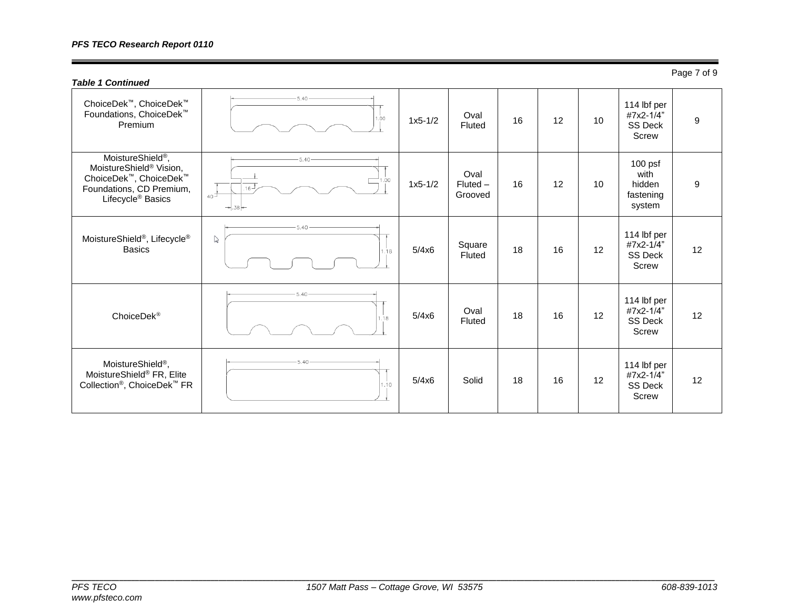# *PFS TECO Research Report 0110*

| <b>Table 1 Continued</b>                                                                                                                                    |                                                   |           |                               |    |    |    |                                                            | Page 7 of 9 |
|-------------------------------------------------------------------------------------------------------------------------------------------------------------|---------------------------------------------------|-----------|-------------------------------|----|----|----|------------------------------------------------------------|-------------|
| ChoiceDek™, ChoiceDek™<br>Foundations, ChoiceDek <sup>™</sup><br>Premium                                                                                    | 1.00                                              | $1x5-1/2$ | Oval<br>Fluted                | 16 | 12 | 10 | 114 lbf per<br>#7x2-1/4"<br><b>SS Deck</b><br>Screw        | 9           |
| MoistureShield <sup>®</sup> ,<br>MoistureShield <sup>®</sup> Vision,<br>ChoiceDek™, ChoiceDek™<br>Foundations, CD Premium,<br>Lifecycle <sup>®</sup> Basics | $-5.40-$<br>00.<br>$16 -$<br>$40^{\pm}$<br>$-38-$ | $1x5-1/2$ | Oval<br>$Fluted -$<br>Grooved | 16 | 12 | 10 | $100$ psf<br>with<br>hidden<br>fastening<br>system         | 9           |
| MoistureShield <sup>®</sup> , Lifecycle <sup>®</sup><br><b>Basics</b>                                                                                       | 5.40<br>$\triangledown$<br>1.18                   | 5/4x6     | Square<br>Fluted              | 18 | 16 | 12 | 114 lbf per<br>#7x2-1/4"<br><b>SS Deck</b><br><b>Screw</b> | 12          |
| ChoiceDek <sup>®</sup>                                                                                                                                      | $-5.40$<br>1.18                                   | 5/4x6     | Oval<br>Fluted                | 18 | 16 | 12 | 114 lbf per<br>#7x2-1/4"<br>SS Deck<br><b>Screw</b>        | 12          |
| MoistureShield <sup>®</sup> ,<br>MoistureShield® FR, Elite<br>Collection <sup>®</sup> , ChoiceDek <sup>™</sup> FR                                           | $-5.40 -$<br>1.10                                 | 5/4x6     | Solid                         | 18 | 16 | 12 | 114 lbf per<br>#7x2-1/4"<br><b>SS Deck</b><br><b>Screw</b> | 12          |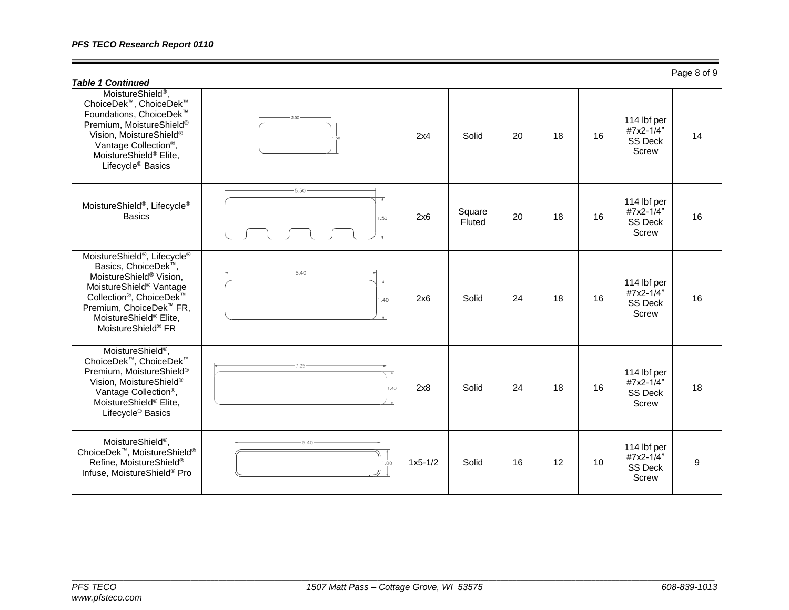| <b>Table 1 Continued</b>                                                                                                                                                                                                                                                                                                      |                |           |                  |    |    |    |                                                     | i ugu u ui u |
|-------------------------------------------------------------------------------------------------------------------------------------------------------------------------------------------------------------------------------------------------------------------------------------------------------------------------------|----------------|-----------|------------------|----|----|----|-----------------------------------------------------|--------------|
| MoistureShield <sup>®</sup> ,<br>ChoiceDek <sup>™</sup> , ChoiceDek™<br>Foundations, ChoiceDek <sup>™</sup><br>Premium, MoistureShield®<br>Vision, MoistureShield®<br>Vantage Collection <sup>®</sup> ,<br>MoistureShield® Elite,<br>Lifecycle <sup>®</sup> Basics                                                            |                | 2x4       | Solid            | 20 | 18 | 16 | 114 lbf per<br>#7x2-1/4"<br>SS Deck<br>Screw        | 14           |
| MoistureShield <sup>®</sup> , Lifecycle <sup>®</sup><br><b>Basics</b>                                                                                                                                                                                                                                                         | $-5.50$<br>.50 | 2x6       | Square<br>Fluted | 20 | 18 | 16 | 114 lbf per<br>#7x2-1/4"<br><b>SS Deck</b><br>Screw | 16           |
| MoistureShield <sup>®</sup> , Lifecycle <sup>®</sup><br>Basics, ChoiceDek <sup>™</sup> ,<br>MoistureShield <sup>®</sup> Vision,<br>MoistureShield <sup>®</sup> Vantage<br>Collection <sup>®</sup> , ChoiceDek <sup>™</sup><br>Premium, ChoiceDek <sup>™</sup> FR,<br>MoistureShield® Elite,<br>MoistureShield <sup>®</sup> FR | 5.40<br>1.40   | 2x6       | Solid            | 24 | 18 | 16 | 114 lbf per<br>#7x2-1/4"<br><b>SS Deck</b><br>Screw | 16           |
| MoistureShield <sup>®</sup> ,<br>ChoiceDek™, ChoiceDek™<br>Premium, MoistureShield®<br>Vision, MoistureShield®<br>Vantage Collection <sup>®</sup> ,<br>MoistureShield <sup>®</sup> Elite,<br>Lifecycle <sup>®</sup> Basics                                                                                                    |                | 2x8       | Solid            | 24 | 18 | 16 | 114 lbf per<br>#7x2-1/4"<br><b>SS Deck</b><br>Screw | 18           |
| MoistureShield <sup>®</sup> ,<br>ChoiceDek <sup>™</sup> , MoistureShield <sup>®</sup><br>Refine, MoistureShield®<br>Infuse, MoistureShield® Pro                                                                                                                                                                               | 1.00           | $1x5-1/2$ | Solid            | 16 | 12 | 10 | 114 lbf per<br>#7x2-1/4"<br>SS Deck<br>Screw        | 9            |

Page 8 of 9